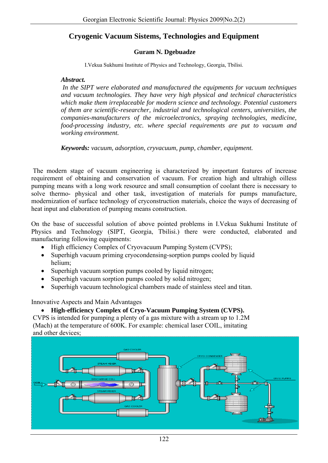# **Cryogenic Vacuum Sistems, Technologies and Equipment**

#### **Guram N. Dgebuadze**

I.Vekua Sukhumi Institute of Physics and Technology, Georgia, Tbilisi.

#### *Abstract.*

*In the SIPT were elaborated and manufactured the equipments for vacuum techniques and vacuum technologies. They have very high physical and technical characteristics which make them irreplaceable for modern science and technology. Potential customers of them are scientific-researcher, industrial and technological centers, universities, the companies-manufacturers of the microelectronics, spraying technologies, medicine, food-processing industry, etc. where special requirements are put to vacuum and working environment.* 

*Keywords: vacuum, adsorption, cryvacuum, pump, chamber, equipment.* 

 The modern stage of vacuum engineering is characterized by important features of increase requirement of obtaining and conservation of vacuum. For creation high and ultrahigh oilless pumping means with a long work resource and small consumption of coolant there is necessary to solve thermo- physical and other task, investigation of materials for pumps manufacture, modernization of surface technology of cryconstruction materials, choice the ways of decreasing of heat input and elaboration of pumping means construction.

On the base of successful solution of above pointed problems in I.Vekua Sukhumi Institute of Physics and Technology (SIPT, Georgia, Tbilisi.) there were conducted, elaborated and manufacturing following equipments:

- High efficiency Complex of Cryovacuum Pumping System (CVPS);
- Superhigh vacuum priming cryocondensing-sorption pumps cooled by liquid helium;
- Superhigh vacuum sorption pumps cooled by liquid nitrogen;
- Superhigh vacuum sorption pumps cooled by solid nitrogen;
- Superhigh vacuum technological chambers made of stainless steel and titan.

Innovative Aspects and Main Advantages

#### • **High-efficiency Complex of Cryo-Vacuum Pumping System (CVPS).**

 CVPS is intended for pumping a plenty of a gas mixture with a stream up to 1.2M (Mach) at the temperature of 600K. For example: chemical laser COIL, imitating and other devices;

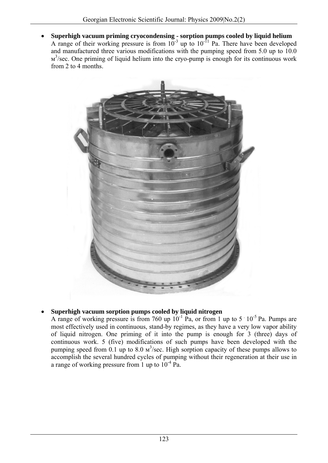• **Superhigh vacuum priming cryocondensing - sorption pumps cooled by liquid helium**  A range of their working pressure is from  $10^{-3}$  up to  $10^{-11}$  Pa. There have been developed and manufactured three various modifications with the pumping speed from 5.0 up to 10.0 м<sup>3</sup>/sec. One priming of liquid helium into the cryo-pump is enough for its continuous work from 2 to 4 months.



## • **Superhigh vacuum sorption pumps cooled by liquid nitrogen**

A range of working pressure is from 760 up  $10^{-1}$  Pa, or from 1 up to 5  $10^{-5}$  Pa. Pumps are most effectively used in continuous, stand-by regimes, as they have a very low vapor ability of liquid nitrogen. One priming of it into the pump is enough for 3 (three) days of continuous work. 5 (five) modifications of such pumps have been developed with the pumping speed from 0.1 up to 8.0  $\text{m}^3$ /sec. High sorption capacity of these pumps allows to accomplish the several hundred cycles of pumping without their regeneration at their use in a range of working pressure from 1 up to  $10^{-4}$  Pa.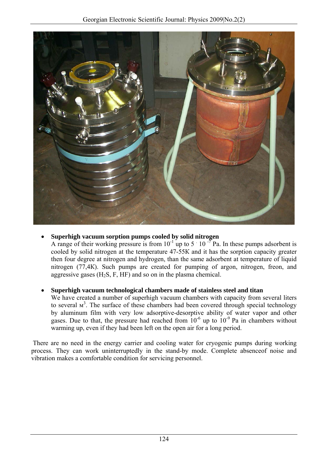

## • **Superhigh vacuum sorption pumps cooled by solid nitrogen**

A range of their working pressure is from  $10^{-1}$  up to 5  $\cdot$  10  $\cdot$  Pa. In these pumps adsorbent is cooled by solid nitrogen at the temperature 47-55К and it has the sorption capacity greater then four degree at nitrogen and hydrogen, than the same adsorbent at temperature of liquid nitrogen (77,4К). Such pumps are created for pumping of argon, nitrogen, freon, and aggressive gases  $(H_2S, F, HF)$  and so on in the plasma chemical.

## • **Superhigh vacuum technological chambers made of stainless steel and titan**

We have created a number of superhigh vacuum chambers with capacity from several liters to several  $M^3$ . The surface of these chambers had been covered through special technology by aluminum film with very low adsorptive-desorptive ability of water vapor and other gases. Due to that, the pressure had reached from  $10^{-6}$  up to  $10^{-9}$  Pa in chambers without warming up, even if they had been left on the open air for a long period.

 There are no need in the energy carrier and cooling water for cryogenic pumps during working process. They can work uninterruptedly in the stand-by mode. Complete absenceof noise and vibration makes a comfortable condition for servicing personnel.